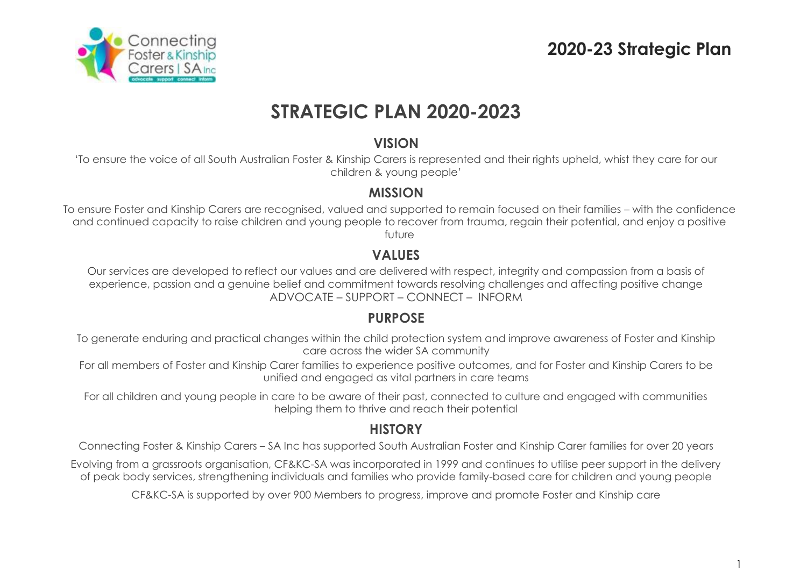# **2020-23 Strategic Plan**

1



# **STRATEGIC PLAN 2020-2023**

## **VISION**

'To ensure the voice of all South Australian Foster & Kinship Carers is represented and their rights upheld, whist they care for our children & young people'

## **MISSION**

To ensure Foster and Kinship Carers are recognised, valued and supported to remain focused on their families – with the confidence and continued capacity to raise children and young people to recover from trauma, regain their potential, and enjoy a positive future

## **VALUES**

Our services are developed to reflect our values and are delivered with respect, integrity and compassion from a basis of experience, passion and a genuine belief and commitment towards resolving challenges and affecting positive change ADVOCATE – SUPPORT – CONNECT – INFORM

## **PURPOSE**

To generate enduring and practical changes within the child protection system and improve awareness of Foster and Kinship care across the wider SA community

For all members of Foster and Kinship Carer families to experience positive outcomes, and for Foster and Kinship Carers to be unified and engaged as vital partners in care teams

For all children and young people in care to be aware of their past, connected to culture and engaged with communities helping them to thrive and reach their potential

## **HISTORY**

Connecting Foster & Kinship Carers – SA Inc has supported South Australian Foster and Kinship Carer families for over 20 years

Evolving from a grassroots organisation, CF&KC-SA was incorporated in 1999 and continues to utilise peer support in the delivery of peak body services, strengthening individuals and families who provide family-based care for children and young people

CF&KC-SA is supported by over 900 Members to progress, improve and promote Foster and Kinship care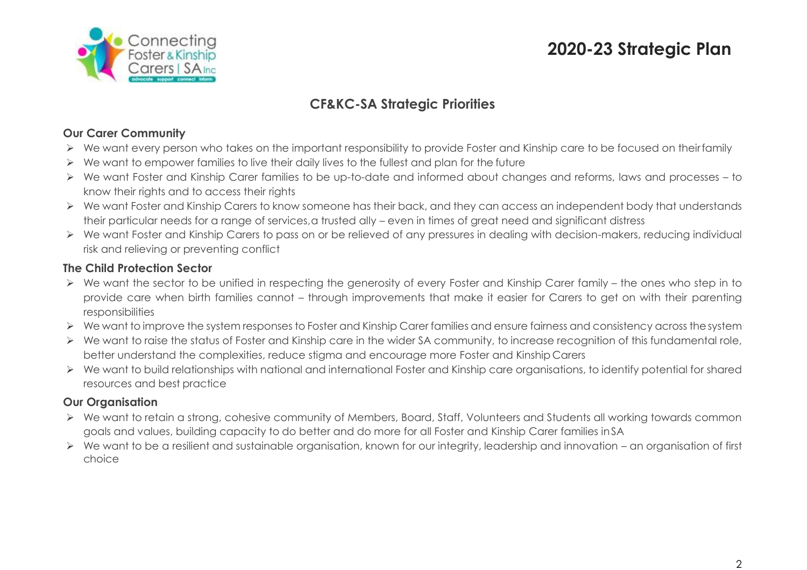



## **CF&KC-SA Strategic Priorities**

## **Our Carer Community**

- We want every person who takes on the important responsibility to provide Foster and Kinship care to be focused on theirfamily
- $\triangleright$  We want to empower families to live their daily lives to the fullest and plan for the future
- We want Foster and Kinship Carer families to be up-to-date and informed about changes and reforms, laws and processes to know their rights and to access their rights
- ▶ We want Foster and Kinship Carers to know someone has their back, and they can access an independent body that understands their particular needs for a range of services, a trusted ally – even in times of great need and significant distress
- We want Foster and Kinship Carers to pass on or be relieved of any pressures in dealing with decision-makers, reducing individual risk and relieving or preventing conflict

#### **The Child Protection Sector**

- We want the sector to be unified in respecting the generosity of every Foster and Kinship Carer family the ones who step in to provide care when birth families cannot – through improvements that make it easier for Carers to get on with their parenting responsibilities
- ▶ We want to improve the system responses to Foster and Kinship Carer families and ensure fairness and consistency across the system
- ▶ We want to raise the status of Foster and Kinship care in the wider SA community, to increase recognition of this fundamental role, better understand the complexities, reduce stigma and encourage more Foster and Kinship Carers
- We want to build relationships with national and international Foster and Kinship care organisations, to identify potential for shared resources and best practice

## **Our Organisation**

- We want to retain a strong, cohesive community of Members, Board, Staff, Volunteers and Students all working towards common goals and values, building capacity to do better and do more for all Foster and Kinship Carer families inSA
- $\triangleright$  We want to be a resilient and sustainable organisation, known for our integrity, leadership and innovation an organisation of first choice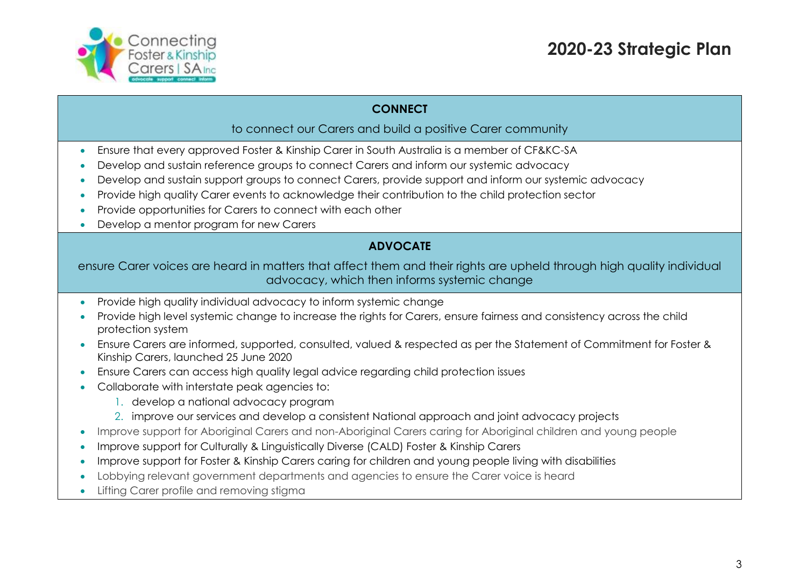

#### **CONNECT**

#### to connect our Carers and build a positive Carer community

- Ensure that every approved Foster & Kinship Carer in South Australia is a member of CF&KC-SA
- Develop and sustain reference groups to connect Carers and inform our systemic advocacy
- Develop and sustain support groups to connect Carers, provide support and inform our systemic advocacy
- Provide high quality Carer events to acknowledge their contribution to the child protection sector
- Provide opportunities for Carers to connect with each other
- Develop a mentor program for new Carers

## **ADVOCATE**

#### ensure Carer voices are heard in matters that affect them and their rights are upheld through high quality individual advocacy, which then informs systemic change

- Provide high quality individual advocacy to inform systemic change
- Provide high level systemic change to increase the rights for Carers, ensure fairness and consistency across the child protection system
- Ensure Carers are informed, supported, consulted, valued & respected as per the Statement of Commitment for Foster & Kinship Carers, launched 25 June 2020
- Ensure Carers can access high quality legal advice regarding child protection issues
- Collaborate with interstate peak agencies to:
	- 1. develop a national advocacy program
	- 2. improve our services and develop a consistent National approach and joint advocacy projects
- Improve support for Aboriginal Carers and non-Aboriginal Carers caring for Aboriginal children and young people
- Improve support for Culturally & Linguistically Diverse (CALD) Foster & Kinship Carers
- Improve support for Foster & Kinship Carers caring for children and young people living with disabilities
- Lobbying relevant government departments and agencies to ensure the Carer voice is heard
- Lifting Carer profile and removing stigma